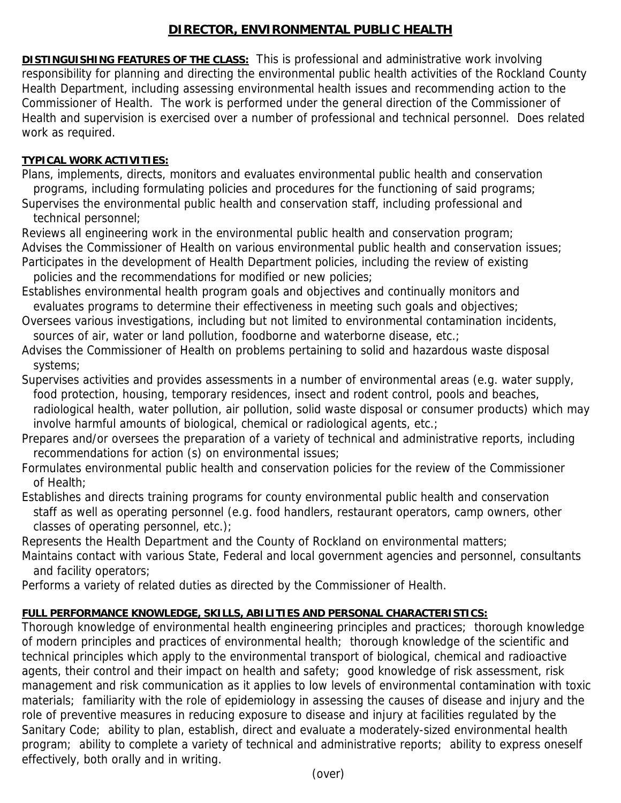## **DIRECTOR, ENVIRONMENTAL PUBLIC HEALTH**

**DISTINGUISHING FEATURES OF THE CLASS:** This is professional and administrative work involving responsibility for planning and directing the environmental public health activities of the Rockland County Health Department, including assessing environmental health issues and recommending action to the Commissioner of Health. The work is performed under the general direction of the Commissioner of Health and supervision is exercised over a number of professional and technical personnel. Does related work as required.

## **TYPICAL WORK ACTIVITIES:**

Plans, implements, directs, monitors and evaluates environmental public health and conservation programs, including formulating policies and procedures for the functioning of said programs;

Supervises the environmental public health and conservation staff, including professional and technical personnel;

Reviews all engineering work in the environmental public health and conservation program; Advises the Commissioner of Health on various environmental public health and conservation issues; Participates in the development of Health Department policies, including the review of existing policies and the recommendations for modified or new policies;

Establishes environmental health program goals and objectives and continually monitors and evaluates programs to determine their effectiveness in meeting such goals and objectives;

Oversees various investigations, including but not limited to environmental contamination incidents, sources of air, water or land pollution, foodborne and waterborne disease, etc.;

Advises the Commissioner of Health on problems pertaining to solid and hazardous waste disposal systems;

Supervises activities and provides assessments in a number of environmental areas (e.g. water supply, food protection, housing, temporary residences, insect and rodent control, pools and beaches, radiological health, water pollution, air pollution, solid waste disposal or consumer products) which may involve harmful amounts of biological, chemical or radiological agents, etc.;

Prepares and/or oversees the preparation of a variety of technical and administrative reports, including recommendations for action (s) on environmental issues;

Formulates environmental public health and conservation policies for the review of the Commissioner of Health;

Establishes and directs training programs for county environmental public health and conservation staff as well as operating personnel (e.g. food handlers, restaurant operators, camp owners, other classes of operating personnel, etc.);

Represents the Health Department and the County of Rockland on environmental matters;

Maintains contact with various State, Federal and local government agencies and personnel, consultants and facility operators;

Performs a variety of related duties as directed by the Commissioner of Health.

## **FULL PERFORMANCE KNOWLEDGE, SKILLS, ABILITIES AND PERSONAL CHARACTERISTICS:**

Thorough knowledge of environmental health engineering principles and practices; thorough knowledge of modern principles and practices of environmental health; thorough knowledge of the scientific and technical principles which apply to the environmental transport of biological, chemical and radioactive agents, their control and their impact on health and safety; good knowledge of risk assessment, risk management and risk communication as it applies to low levels of environmental contamination with toxic materials; familiarity with the role of epidemiology in assessing the causes of disease and injury and the role of preventive measures in reducing exposure to disease and injury at facilities regulated by the Sanitary Code; ability to plan, establish, direct and evaluate a moderately-sized environmental health program; ability to complete a variety of technical and administrative reports; ability to express oneself effectively, both orally and in writing.